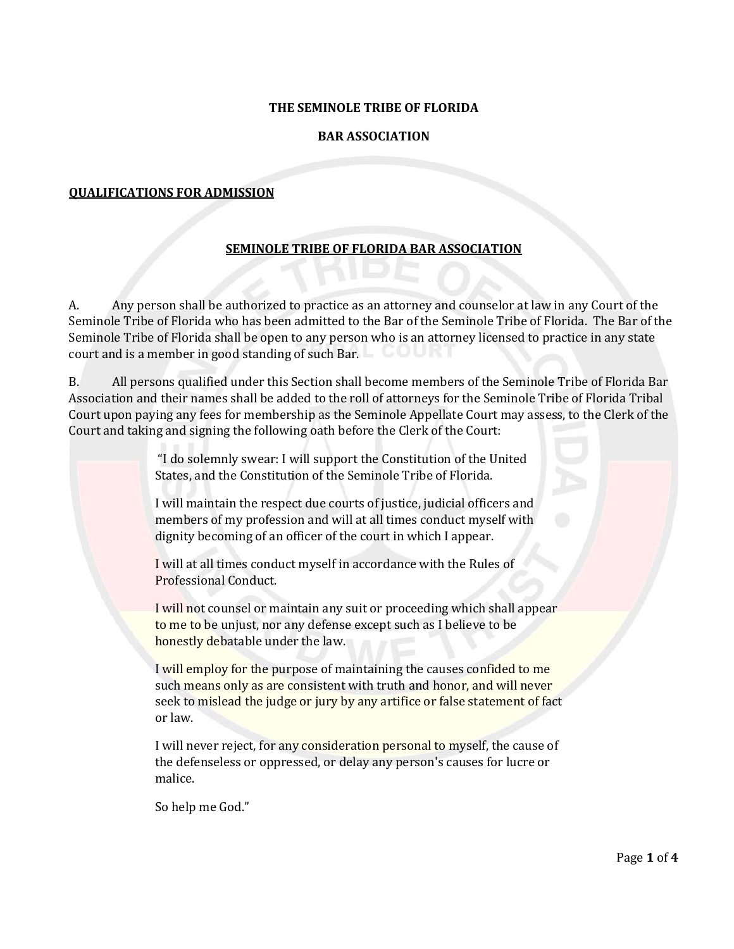#### **THE SEMINOLE TRIBE OF FLORIDA**

#### **BAR ASSOCIATION**

#### **QUALIFICATIONS FOR ADMISSION**

#### **SEMINOLE TRIBE OF FLORIDA BAR ASSOCIATION**

A. Any person shall be authorized to practice as an attorney and counselor at law in any Court of the Seminole Tribe of Florida who has been admitted to the Bar of the Seminole Tribe of Florida. The Bar of the Seminole Tribe of Florida shall be open to any person who is an attorney licensed to practice in any state court and is a member in good standing of such Bar.

B. All persons qualified under this Section shall become members of the Seminole Tribe of Florida Bar Association and their names shall be added to the roll of attorneys for the Seminole Tribe of Florida Tribal Court upon paying any fees for membership as the Seminole Appellate Court may assess, to the Clerk of the Court and taking and signing the following oath before the Clerk of the Court:

> "I do solemnly swear: I will support the Constitution of the United States, and the Constitution of the Seminole Tribe of Florida.

I will maintain the respect due courts of justice, judicial officers and members of my profession and will at all times conduct myself with dignity becoming of an officer of the court in which I appear.

I will at all times conduct myself in accordance with the Rules of Professional Conduct.

I will not counsel or maintain any suit or proceeding which shall appear to me to be unjust, nor any defense except such as I believe to be honestly debatable under the law.

I will employ for the purpose of maintaining the causes confided to me such means only as are consistent with truth and honor, and will never seek to mislead the judge or jury by any artifice or false statement of fact or law.

I will never reject, for any consideration personal to myself, the cause of the defenseless or oppressed, or delay any person's causes for lucre or malice.

So help me God."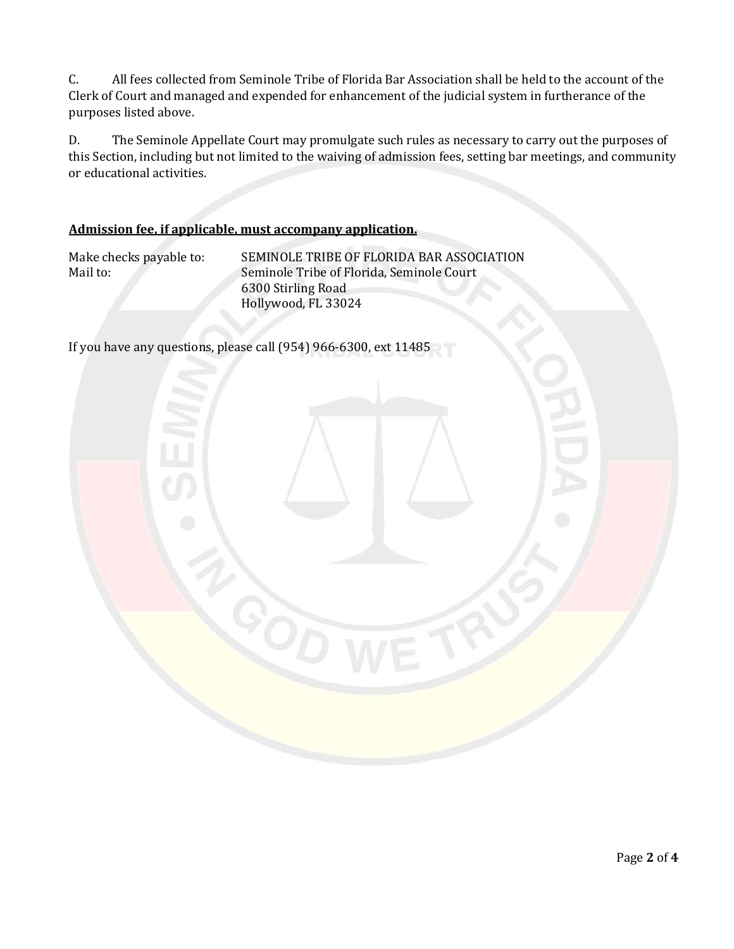C. All fees collected from Seminole Tribe of Florida Bar Association shall be held to the account of the Clerk of Court and managed and expended for enhancement of the judicial system in furtherance of the purposes listed above.

D. The Seminole Appellate Court may promulgate such rules as necessary to carry out the purposes of this Section, including but not limited to the waiving of admission fees, setting bar meetings, and community or educational activities.

## **Admission fee, if applicable, must accompany application.**

| Make checks payable to: |  |
|-------------------------|--|
| Mail to:                |  |

SEMINOLE TRIBE OF FLORIDA BAR ASSOCIATION Seminole Tribe of Florida, Seminole Court 6300 Stirling Road Hollywood, FL 33024

If you have any questions, please call (954) 966-6300, ext 11485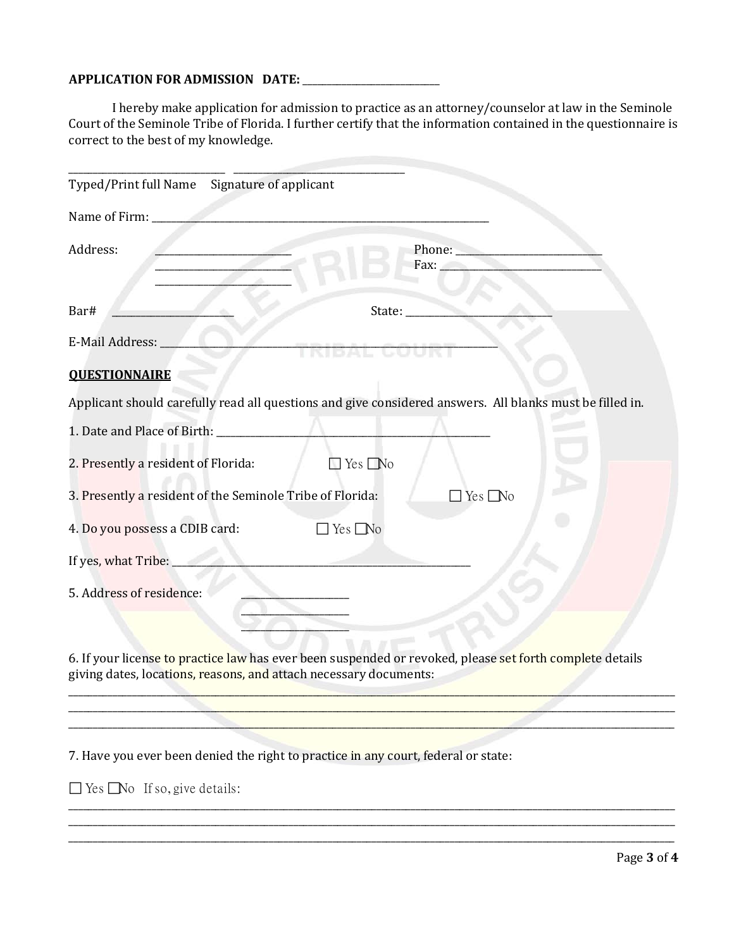### **APPLICATION FOR ADMISSION DATE:** \_\_\_\_\_\_\_\_\_\_\_\_\_\_\_\_\_\_\_\_\_\_\_\_\_\_\_\_

I hereby make application for admission to practice as an attorney/counselor at law in the Seminole Court of the Seminole Tribe of Florida. I further certify that the information contained in the questionnaire is correct to the best of my knowledge.

| Typed/Print full Name Signature of applicant                      |                                                                                                          |
|-------------------------------------------------------------------|----------------------------------------------------------------------------------------------------------|
|                                                                   |                                                                                                          |
| Address:                                                          | Phone:<br>Fax:                                                                                           |
| Bar#                                                              | State:                                                                                                   |
| E-Mail Address:                                                   |                                                                                                          |
| <b>OUESTIONNAIRE</b>                                              |                                                                                                          |
|                                                                   | Applicant should carefully read all questions and give considered answers. All blanks must be filled in. |
|                                                                   |                                                                                                          |
| 2. Presently a resident of Florida:                               | $\Box$ Yes $\Box$ No                                                                                     |
| 3. Presently a resident of the Seminole Tribe of Florida:         | $\Box$ Yes $\Box$ No                                                                                     |
| 4. Do you possess a CDIB card:                                    | $\Box$ Yes $\Box$ No                                                                                     |
|                                                                   |                                                                                                          |
| 5. Address of residence:                                          |                                                                                                          |
|                                                                   |                                                                                                          |
| giving dates, locations, reasons, and attach necessary documents: | 6. If your license to practice law has ever been suspended or revoked, please set forth complete details |
|                                                                   |                                                                                                          |

\_\_\_\_\_\_\_\_\_\_\_\_\_\_\_\_\_\_\_\_\_\_\_\_\_\_\_\_\_\_\_\_\_\_\_\_\_\_\_\_\_\_\_\_\_\_\_\_\_\_\_\_\_\_\_\_\_\_\_\_\_\_\_\_\_\_\_\_\_\_\_\_\_\_\_\_\_\_\_\_\_\_\_\_\_\_\_\_\_\_\_\_\_\_\_\_\_\_\_\_\_\_\_\_\_\_\_\_\_\_\_\_\_\_\_\_\_\_\_\_\_\_\_\_

\_\_\_\_\_\_\_\_\_\_\_\_\_\_\_\_\_\_\_\_\_\_\_\_\_\_\_\_\_\_\_\_\_\_\_\_\_\_\_\_\_\_\_\_\_\_\_\_\_\_\_\_\_\_\_\_\_\_\_\_\_\_\_\_\_\_\_\_\_\_\_\_\_\_\_\_\_\_\_\_\_\_\_\_\_\_\_\_\_\_\_\_\_\_\_\_\_\_\_\_\_\_\_\_\_\_\_\_\_\_\_\_\_\_\_\_\_\_\_\_\_\_\_\_ \_\_\_\_\_\_\_\_\_\_\_\_\_\_\_\_\_\_\_\_\_\_\_\_\_\_\_\_\_\_\_\_\_\_\_\_\_\_\_\_\_\_\_\_\_\_\_\_\_\_\_\_\_\_\_\_\_\_\_\_\_\_\_\_\_\_\_\_\_\_\_\_\_\_\_\_\_\_\_\_\_\_\_\_\_\_\_\_\_\_\_\_\_\_\_\_\_\_\_\_\_\_\_\_\_\_\_\_\_\_\_\_\_\_\_\_\_\_\_\_\_\_\_\_ \_\_\_\_\_\_\_\_\_\_\_\_\_\_\_\_\_\_\_\_\_\_\_\_\_\_\_\_\_\_\_\_\_\_\_\_\_\_\_\_\_\_\_\_\_\_\_\_\_\_\_\_\_\_\_\_\_\_\_\_\_\_\_\_\_\_\_\_\_\_\_\_\_\_\_\_\_\_\_\_\_\_\_\_\_\_\_\_\_\_\_\_\_\_\_\_\_\_\_\_\_\_\_\_\_\_\_\_\_\_\_\_\_\_\_\_\_\_\_\_\_\_\_\_

7. Have you ever been denied the right to practice in any court, federal or state:

 $\Box$  Yes  $\Box$  No If so, give details: